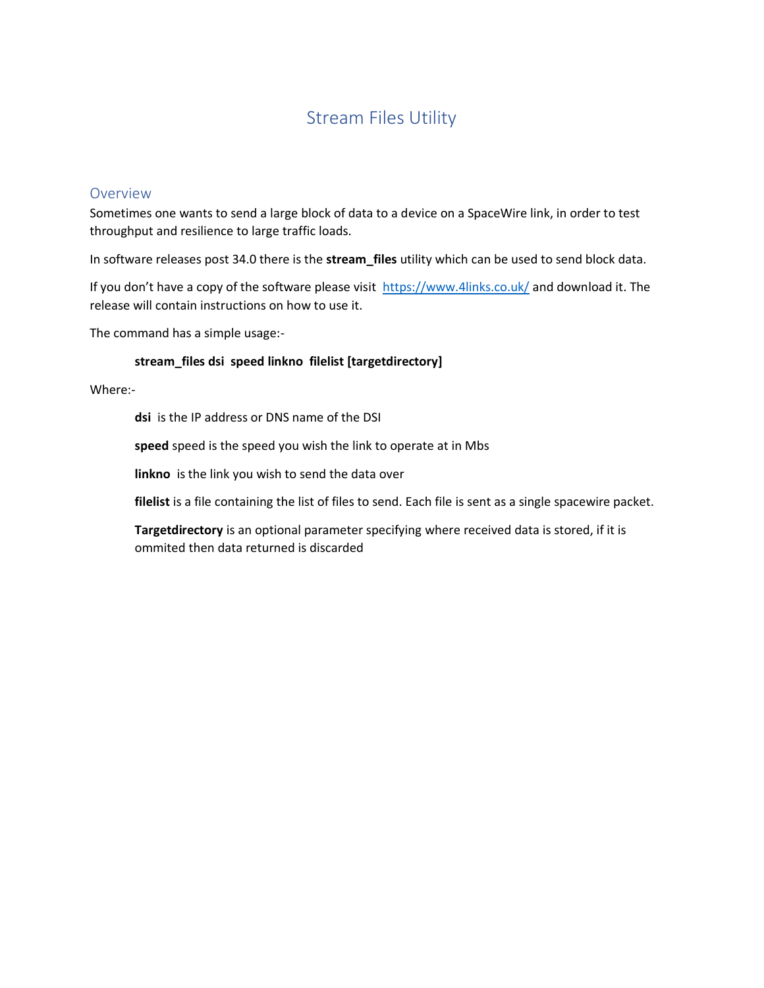# Stream Files Utility

## Overview

Sometimes one wants to send a large block of data to a device on a SpaceWire link, in order to test throughput and resilience to large traffic loads.

In software releases post 34.0 there is the **stream\_files** utility which can be used to send block data.

If you don't have a copy of the software please visit <https://www.4links.co.uk/> and download it. The release will contain instructions on how to use it.

The command has a simple usage:-

### **stream\_files dsi speed linkno filelist [targetdirectory]**

Where:-

**dsi** is the IP address or DNS name of the DSI

**speed** speed is the speed you wish the link to operate at in Mbs

**linkno** is the link you wish to send the data over

filelist is a file containing the list of files to send. Each file is sent as a single spacewire packet.

**Targetdirectory** is an optional parameter specifying where received data is stored, if it is ommited then data returned is discarded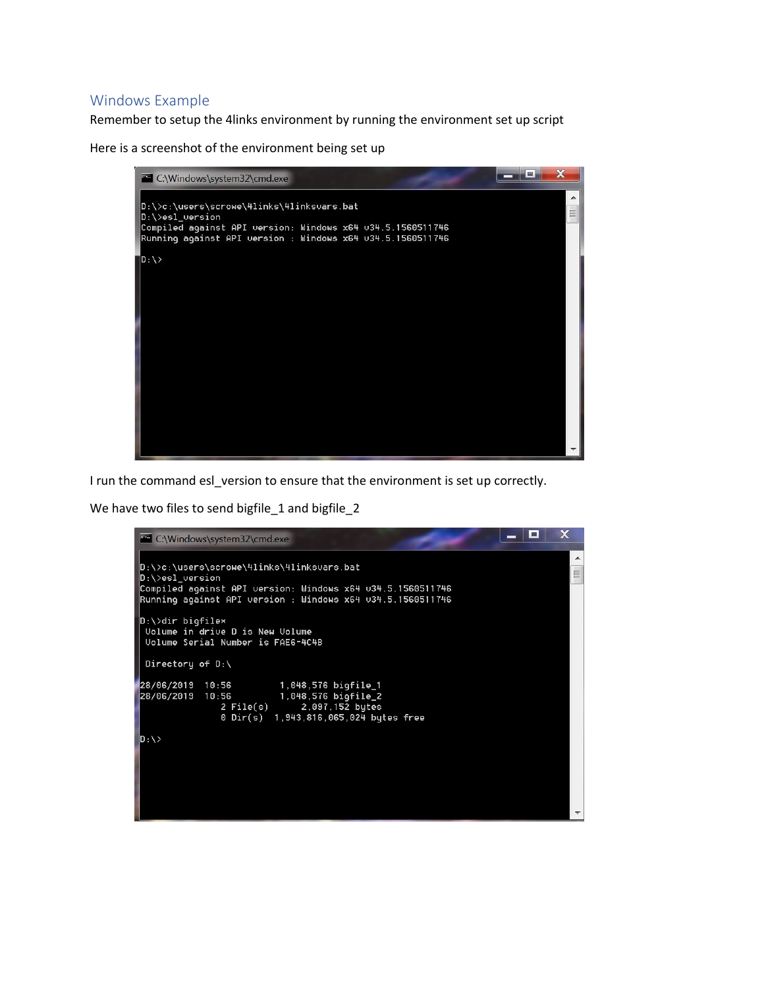# Windows Example

Remember to setup the 4links environment by running the environment set up script

Here is a screenshot of the environment being set up



I run the command esl\_version to ensure that the environment is set up correctly.

We have two files to send bigfile\_1 and bigfile\_2

```
- 0
                                                                                                       \mathbf xC:\Windows\system32\cmd.exe
                                                                                                          ▲
|D:\rangle >c:\users\scrowe\4links\4linksvars.bat
                                                                                                          Ë
\vertD:\>esl_version
\overline{\text{Complied}} against API version: Windows x64 v34.5.1560511746
Running against API version : Windows x64 v34.5.1560511746
D:\>dir bigfile*<br>| Uolume in dri∪e D is New Uolume
 Uolume Serial Number is FAE6-4C4B
 Directory of D:\Lambda1,048,576 bigfile_1<br>1,048,576 bigfile_2<br>2,097,152 bytes
28/06/2019 10:56<br>28/06/2019 10:56
                   2 File(s)
                   0 Dir(s) 1,943,816,065,024 bytes free
D:\ \>
```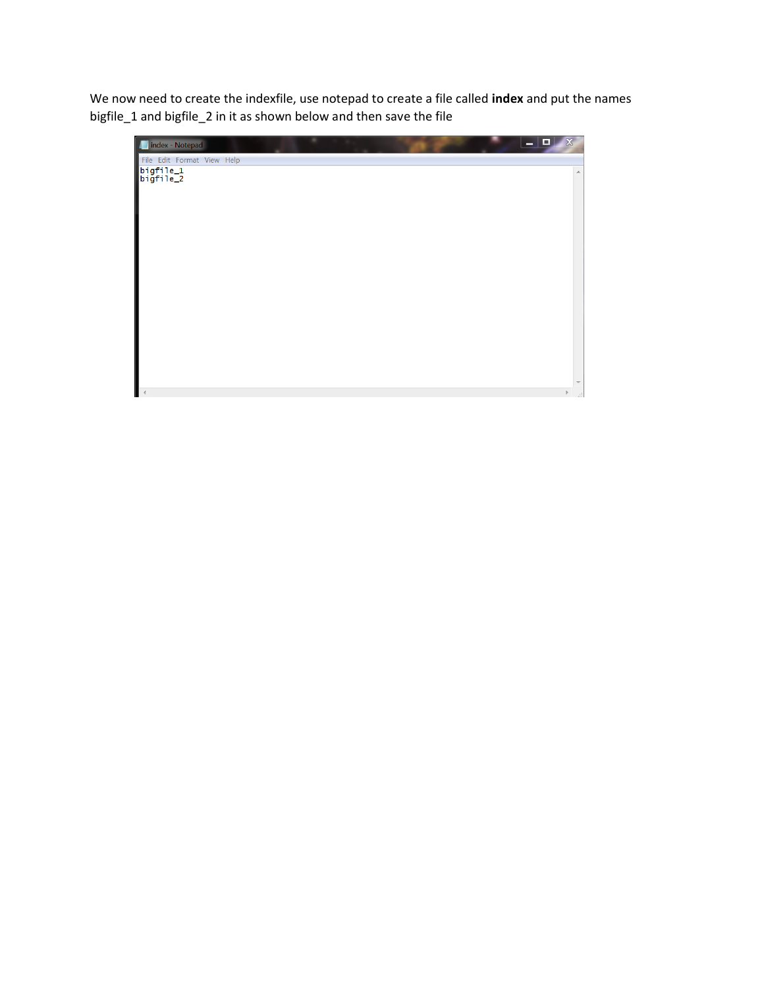We now need to create the indexfile, use notepad to create a file called **index** and put the names bigfile\_1 and bigfile\_2 in it as shown below and then save the file

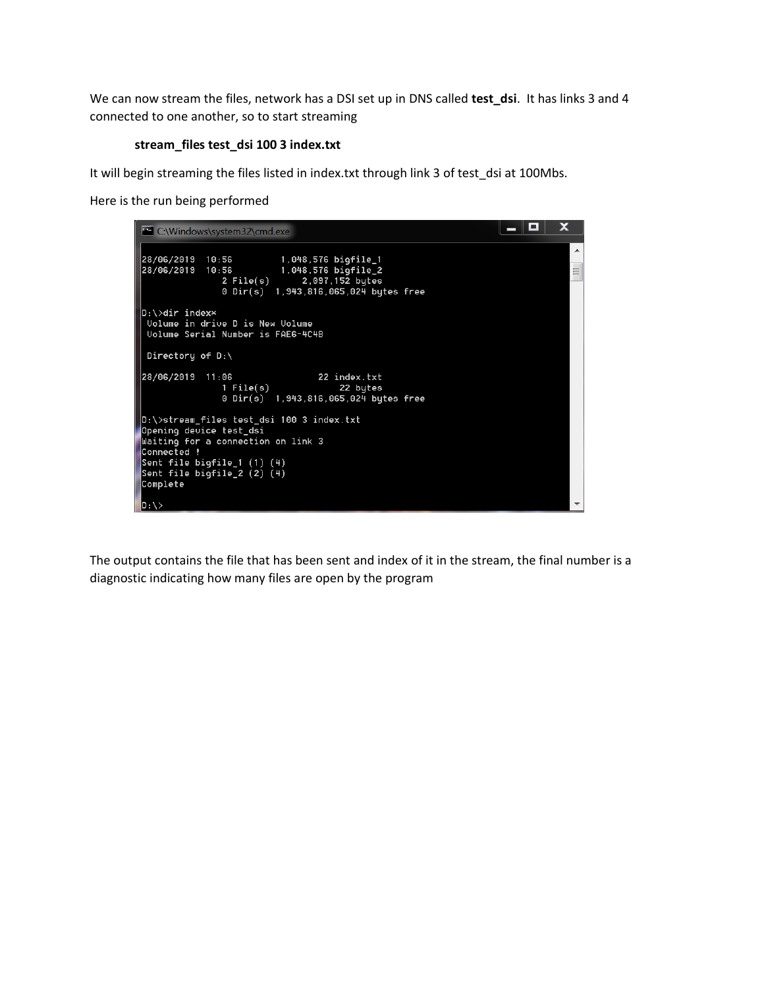We can now stream the files, network has a DSI set up in DNS called **test\_dsi**. It has links 3 and 4 connected to one another, so to start streaming

## **stream\_files test\_dsi 100 3 index.txt**

It will begin streaming the files listed in index.txt through link 3 of test\_dsi at 100Mbs.

Here is the run being performed

| C:\Windows\system32\cmd.exe                                                                                                                                                                          | о | x      |
|------------------------------------------------------------------------------------------------------------------------------------------------------------------------------------------------------|---|--------|
| 28/06/2019 10:56<br>1,048,576 bigfile_1<br>1,048,576 bigfile_2<br>28/06/2019<br>10:56<br>$2$ File(s)<br>2,097,152 bytes<br>0 Dir(s) 1,943,816,065,024 bytes free                                     |   | ▴<br>Ξ |
| $D:\$ >dir index $*$<br>Uolume in drive D is New Uolume<br>Uolume Serial Number is FAE6-4C4B<br>Directory of $D:\ \setminus$                                                                         |   |        |
| 28/06/2019 11:06<br>22 index.txt<br>$1$ File $(s)$<br>22 bytes<br>0 Dir(s) 1,943,816,065,024 bytes free                                                                                              |   |        |
| D:\>stream_files test_dsi 100 3 index.txt<br>Opening device test_dsi<br>Waiting for a connection on link 3<br> Connected !<br>Sent file bigfile_1 (1) (4)<br>Sent file bigfile_2 (2) (4)<br>Complete |   |        |
| $ D:\ \ \rangle$                                                                                                                                                                                     |   |        |

The output contains the file that has been sent and index of it in the stream, the final number is a diagnostic indicating how many files are open by the program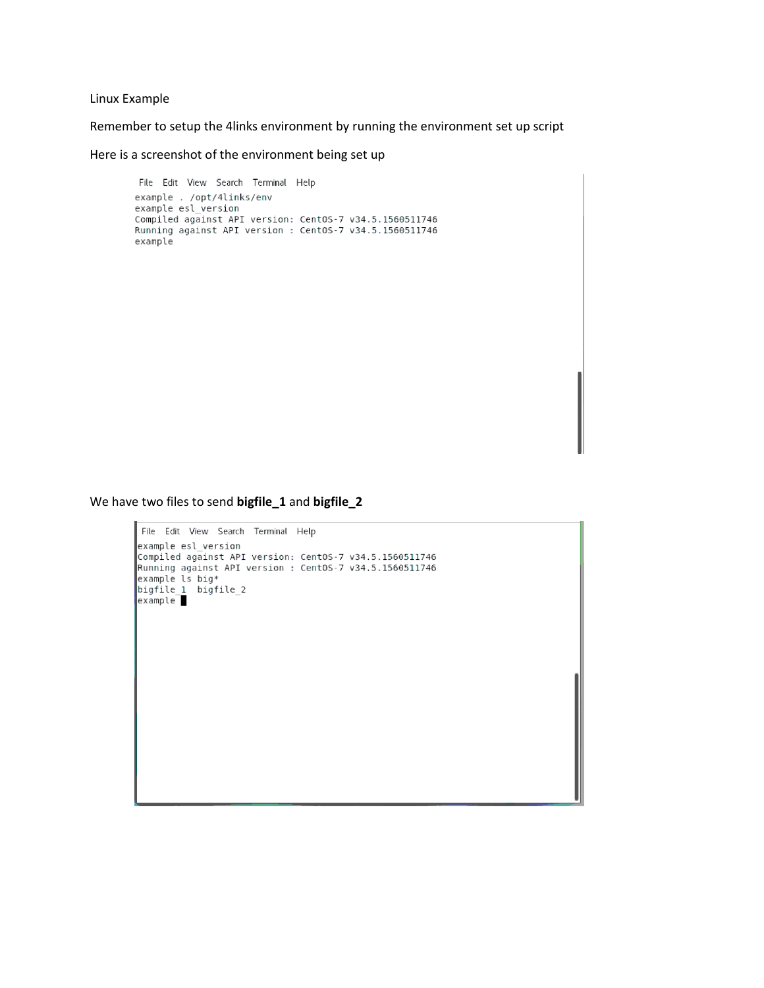#### Linux Example

Remember to setup the 4links environment by running the environment set up script

Here is a screenshot of the environment being set up

File Edit View Search Terminal Help example . /opt/4links/env example esl version Compiled against API version: CentOS-7 v34.5.1560511746<br>Running against API version : CentOS-7 v34.5.1560511746 example

We have two files to send **bigfile\_1** and **bigfile\_2**

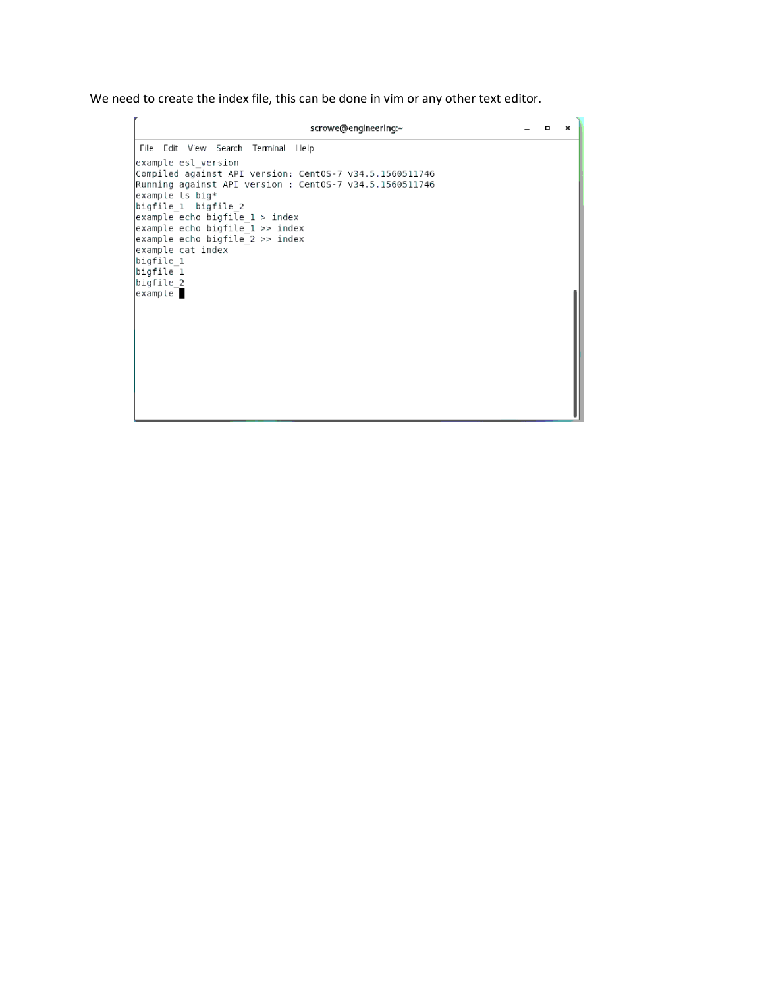We need to create the index file, this can be done in vim or any other text editor.

scrowe@engineering:~  $\times$ File Edit View Search Terminal Help example esl version Compiled against API version: CentOS-7 v34.5.1560511746<br>Running against API version : CentOS-7 v34.5.1560511746 example ls big\*<br>bigfile\_1 bigfile\_2  $example$  echo bigfile  $1 >$  index  $example$  echo bigfile  $1 \gg$  index example echo bigfile\_2 >> index<br>example echo bigfile\_2 >> index<br>example cat index bigfile 1  $bigfile_1$ bigfile\_2<br>example